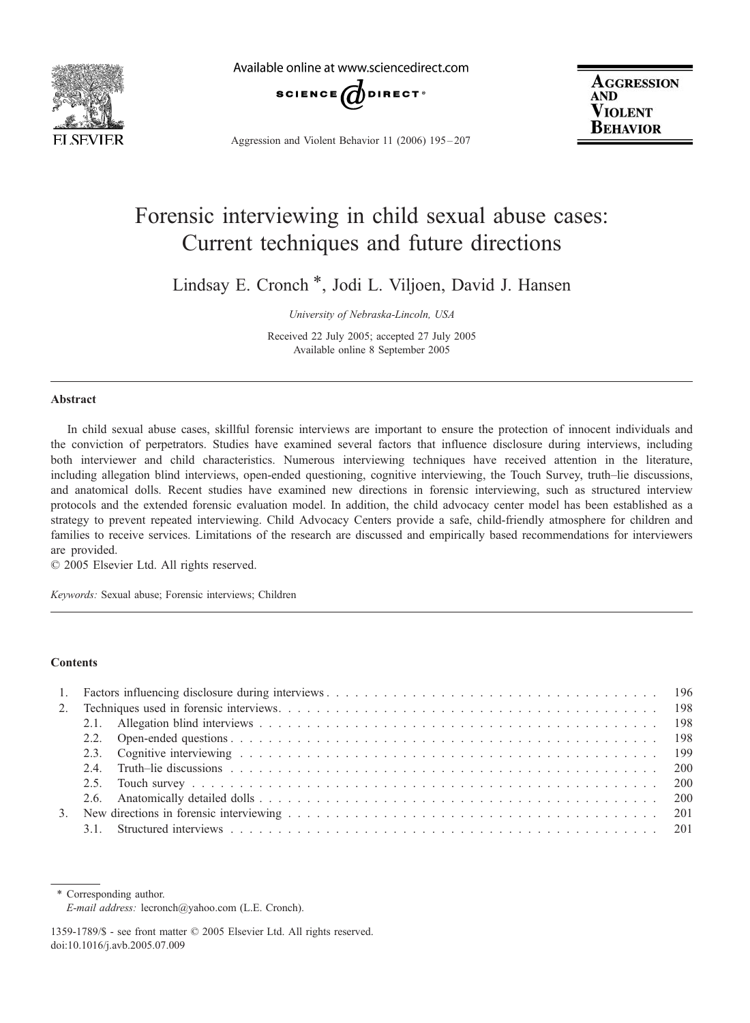

Available online at www.sciencedirect.com



Aggression and Violent Behavior 11 (2006) 195 – 207

**AGGRESSION AND** Violent BEHAVIOR

# Forensic interviewing in child sexual abuse cases: Current techniques and future directions

Lindsay E. Cronch \*, Jodi L. Viljoen, David J. Hansen

University of Nebraska-Lincoln, USA

Received 22 July 2005; accepted 27 July 2005 Available online 8 September 2005

#### Abstract

In child sexual abuse cases, skillful forensic interviews are important to ensure the protection of innocent individuals and the conviction of perpetrators. Studies have examined several factors that influence disclosure during interviews, including both interviewer and child characteristics. Numerous interviewing techniques have received attention in the literature, including allegation blind interviews, open-ended questioning, cognitive interviewing, the Touch Survey, truth–lie discussions, and anatomical dolls. Recent studies have examined new directions in forensic interviewing, such as structured interview protocols and the extended forensic evaluation model. In addition, the child advocacy center model has been established as a strategy to prevent repeated interviewing. Child Advocacy Centers provide a safe, child-friendly atmosphere for children and families to receive services. Limitations of the research are discussed and empirically based recommendations for interviewers are provided.

 $© 2005 Elsevier Ltd. All rights reserved.$ 

Keywords: Sexual abuse; Forensic interviews; Children

# **Contents**

\* Corresponding author. E-mail address: lecronch@yahoo.com (L.E. Cronch).

<sup>1359-1789/\$ -</sup> see front matter © 2005 Elsevier Ltd. All rights reserved. doi:10.1016/j.avb.2005.07.009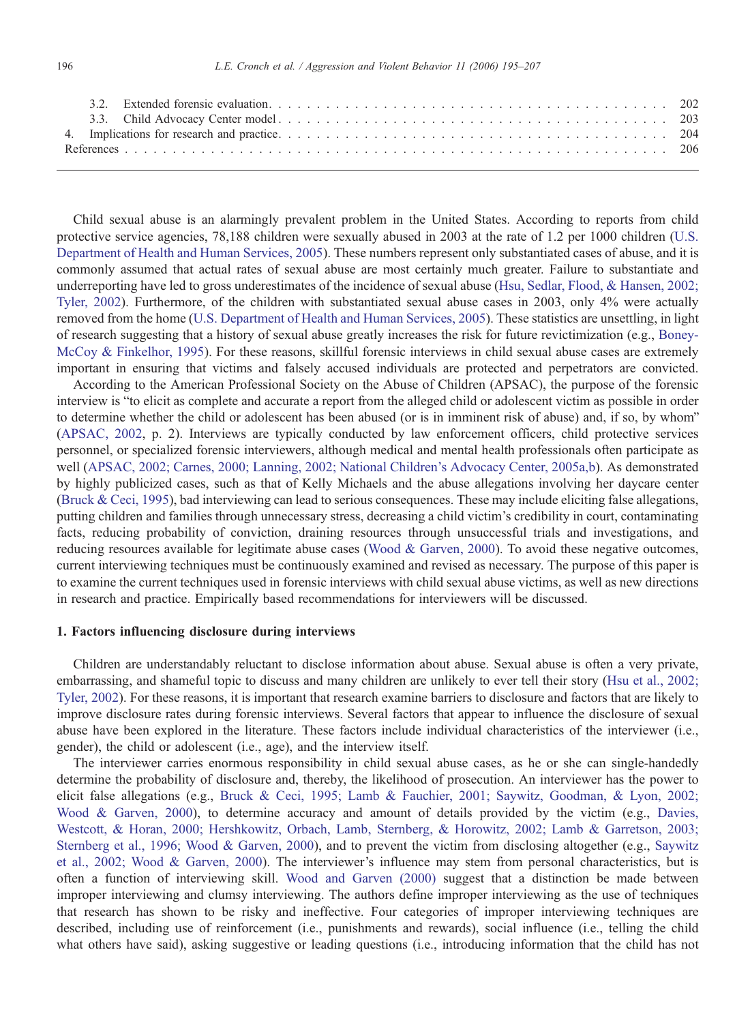Child sexual abuse is an alarmingly prevalent problem in the United States. According to reports from child protective service agencies, 78,188 children were sexually abused in 2003 at the rate of 1.2 per 1000 chi[ldren \(U.S.](#page-12-0) Department of Health and Human Services, 2005). These numbers represent only substantiated cases of abuse, and it is commonly assumed that actual rates of sexual abuse are most certainly much greater. Failure to substantiate and underreporting have led to gross underestimates of the incidence of sexual abuse ([Hsu, Sedlar, Flood, & Hansen, 2002;](#page-11-0) Tyler, 2002). Furthermore, of the children with substantiated sexual abuse cases in 2003, only 4% were actually removed from the home ([U.S. Department of Health and Human Services, 2005\)](#page-12-0). These statistics are unsettling, in light of research suggesting that a history of sexual abuse greatly increases the risk for future revictimization (e.g., [Boney-](#page-11-0)McCoy & Finkelhor, 1995). For these reasons, skillful forensic interviews in child sexual abuse cases are extremely important in ensuring that victims and falsely accused individuals are protected and perpetrators are convicted.

According to the American Professional Society on the Abuse of Children (APSAC), the purpose of the forensic interview is "to elicit as complete and accurate a report from the alleged child or adolescent victim as possible in order to determine whether the child or adolescent has been abused (or is in imminent risk of abuse) and, if so, by whom" ([APSAC, 2002,](#page-11-0) p. 2). Interviews are typically conducted by law enforcement officers, child protective services personnel, or specialized forensic interviewers, although medical and mental health professionals often participate as well [\(APSAC, 2002; Carnes, 2000; Lanning, 2002; National Children's Advocacy Center, 2005a,b\)](#page-11-0). As demonstrated by highly publicized cases, such as that of Kelly Michaels and the abuse allegations involving her daycare center [\(Bruck & Ceci, 1995](#page-11-0)), bad interviewing can lead to serious consequences. These may include eliciting false allegations, putting children and families through unnecessary stress, decreasing a child victim's credibility in court, contaminating facts, reducing probability of conviction, draining resources through unsuccessful trials and investigations, and reducing resources available for legitimate abuse cases ([Wood & Garven, 2000\)](#page-12-0). To avoid these negative outcomes, current interviewing techniques must be continuously examined and revised as necessary. The purpose of this paper is to examine the current techniques used in forensic interviews with child sexual abuse victims, as well as new directions in research and practice. Empirically based recommendations for interviewers will be discussed.

## 1. Factors influencing disclosure during interviews

Children are understandably reluctant to disclose information about abuse. Sexual abuse is often a very private, embarrassing, and shameful topic to discuss and many children are unlikely to ever tell their story [\(Hsu et al., 2002;](#page-11-0) Tyler, 2002). For these reasons, it is important that research examine barriers to disclosure and factors that are likely to improve disclosure rates during forensic interviews. Several factors that appear to influence the disclosure of sexual abuse have been explored in the literature. These factors include individual characteristics of the interviewer (i.e., gender), the child or adolescent (i.e., age), and the interview itself.

The interviewer carries enormous responsibility in child sexual abuse cases, as he or she can single-handedly determine the probability of disclosure and, thereby, the likelihood of prosecution. An interviewer has the power to elicit false allegations (e.g., [Bruck & Ceci, 1995; Lamb & Fauchier, 2001; Saywitz, Goodman, & Lyon, 2002;](#page-11-0) Wood & Garven, 2000), to determine accuracy and amount of details provided by the victim (e.g., [Davies,](#page-11-0) Westcott, & Horan, 2000; Hershkowitz, Orbach, Lamb, Sternberg, & Horowitz, 2002; Lamb & Garretson, 2003; Sternberg et al., 1996; Wood & Garven, 2000), and to prevent the victim from disclosing altogether (e.g., [Saywitz](#page-12-0) et al., 2002; Wood & Garven, 2000). The interviewer's influence may stem from personal characteristics, but is often a function of interviewing skill. [Wood and Garven \(2000\)](#page-12-0) suggest that a distinction be made between improper interviewing and clumsy interviewing. The authors define improper interviewing as the use of techniques that research has shown to be risky and ineffective. Four categories of improper interviewing techniques are described, including use of reinforcement (i.e., punishments and rewards), social influence (i.e., telling the child what others have said), asking suggestive or leading questions (i.e., introducing information that the child has not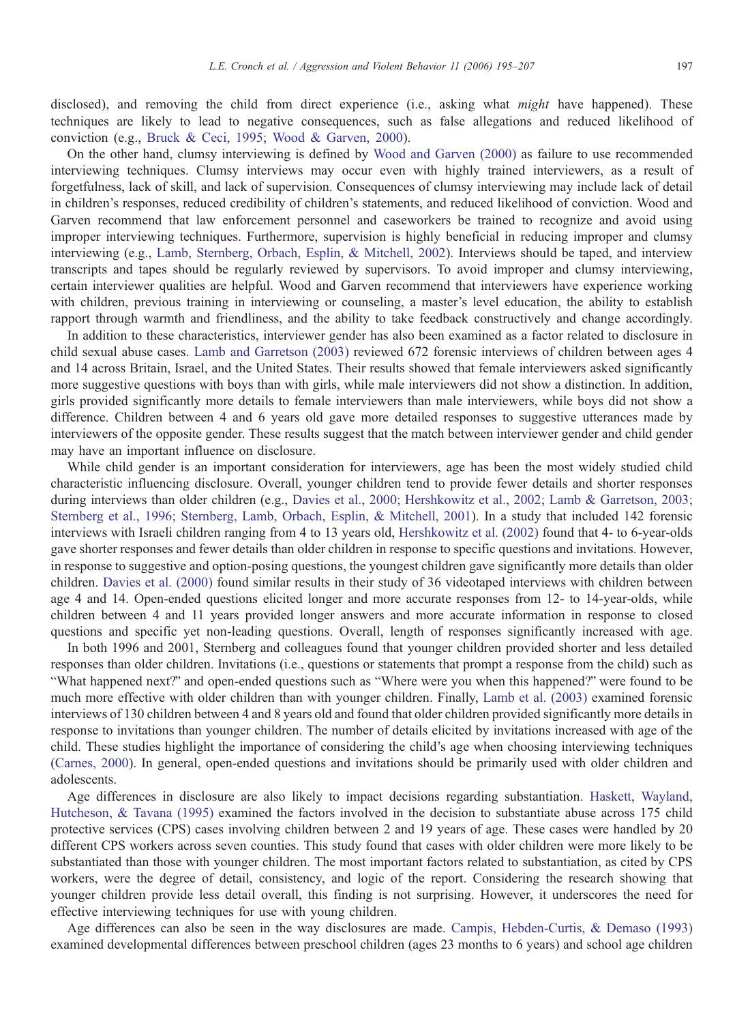disclosed), and removing the child from direct experience (i.e., asking what *might* have happened). These techniques are likely to lead to negative consequences, such as false allegations and reduced likelihood of conviction (e.g., [Bruck & Ceci, 1995; Wood & Garven, 2000\)](#page-11-0).

On the other hand, clumsy interviewing is defined by [Wood and Garven \(2000](#page-12-0)) as failure to use recommended interviewing techniques. Clumsy interviews may occur even with highly trained interviewers, as a result of forgetfulness, lack of skill, and lack of supervision. Consequences of clumsy interviewing may include lack of detail in children's responses, reduced credibility of children's statements, and reduced likelihood of conviction. Wood and Garven recommend that law enforcement personnel and caseworkers be trained to recognize and avoid using improper interviewing techniques. Furthermore, supervision is highly beneficial in reducing improper and clumsy interviewing (e.g., [Lamb, Sternberg, Orbach, Esplin, & Mitchell, 2002\)](#page-11-0). Interviews should be taped, and interview transcripts and tapes should be regularly reviewed by supervisors. To avoid improper and clumsy interviewing, certain interviewer qualities are helpful. Wood and Garven recommend that interviewers have experience working with children, previous training in interviewing or counseling, a master's level education, the ability to establish rapport through warmth and friendliness, and the ability to take feedback constructively and change accordingly.

In addition to these characteristics, interviewer gender has also been examined as a factor related to disclosure in child sexual abuse cases. [Lamb and Garretson \(2003\)](#page-11-0) reviewed 672 forensic interviews of children between ages 4 and 14 across Britain, Israel, and the United States. Their results showed that female interviewers asked significantly more suggestive questions with boys than with girls, while male interviewers did not show a distinction. In addition, girls provided significantly more details to female interviewers than male interviewers, while boys did not show a difference. Children between 4 and 6 years old gave more detailed responses to suggestive utterances made by interviewers of the opposite gender. These results suggest that the match between interviewer gender and child gender may have an important influence on disclosure.

While child gender is an important consideration for interviewers, age has been the most widely studied child characteristic influencing disclosure. Overall, younger children tend to provide fewer details and shorter responses during interviews than older children (e.g., [Davies et al., 2000; Hershkowitz et al., 2002; Lamb & Garretson, 2003](#page-11-0); Sternberg et al., 1996; Sternberg, Lamb, Orbach, Esplin, & Mitchell, 2001). In a study that included 142 forensic interviews with Israeli children ranging from 4 to 13 years old, [Hershkowitz et al. \(2002\)](#page-11-0) found that 4- to 6-year-olds gave shorter responses and fewer details than older children in response to specific questions and invitations. However, in response to suggestive and option-posing questions, the youngest children gave significantly more details than older children. [Davies et al. \(2000\)](#page-11-0) found similar results in their study of 36 videotaped interviews with children between age 4 and 14. Open-ended questions elicited longer and more accurate responses from 12- to 14-year-olds, while children between 4 and 11 years provided longer answers and more accurate information in response to closed questions and specific yet non-leading questions. Overall, length of responses significantly increased with age.

In both 1996 and 2001, Sternberg and colleagues found that younger children provided shorter and less detailed responses than older children. Invitations (i.e., questions or statements that prompt a response from the child) such as "What happened next?" and open-ended questions such as "Where were you when this happened?" were found to be much more effective with older children than with younger children. Finally, [Lamb et al. \(2003\)](#page-11-0) examined forensic interviews of 130 children between 4 and 8 years old and found that older children provided significantly more details in response to invitations than younger children. The number of details elicited by invitations increased with age of the child. These studies highlight the importance of considering the child's age when choosing interviewing techniques ([Carnes, 2000\)](#page-11-0). In general, open-ended questions and invitations should be primarily used with older children and adolescents.

Age differences in disclosure are also likely to impact decisions regarding substantiation. [Haskett, Wayland](#page-11-0), Hutcheson, & Tavana (1995) examined the factors involved in the decision to substantiate abuse across 175 child protective services (CPS) cases involving children between 2 and 19 years of age. These cases were handled by 20 different CPS workers across seven counties. This study found that cases with older children were more likely to be substantiated than those with younger children. The most important factors related to substantiation, as cited by CPS workers, were the degree of detail, consistency, and logic of the report. Considering the research showing that younger children provide less detail overall, this finding is not surprising. However, it underscores the need for effective interviewing techniques for use with young children.

Age differences can also be seen in the way disclosures are made. [Campis, Hebden-Curtis, & Demaso \(1993\)](#page-11-0) examined developmental differences between preschool children (ages 23 months to 6 years) and school age children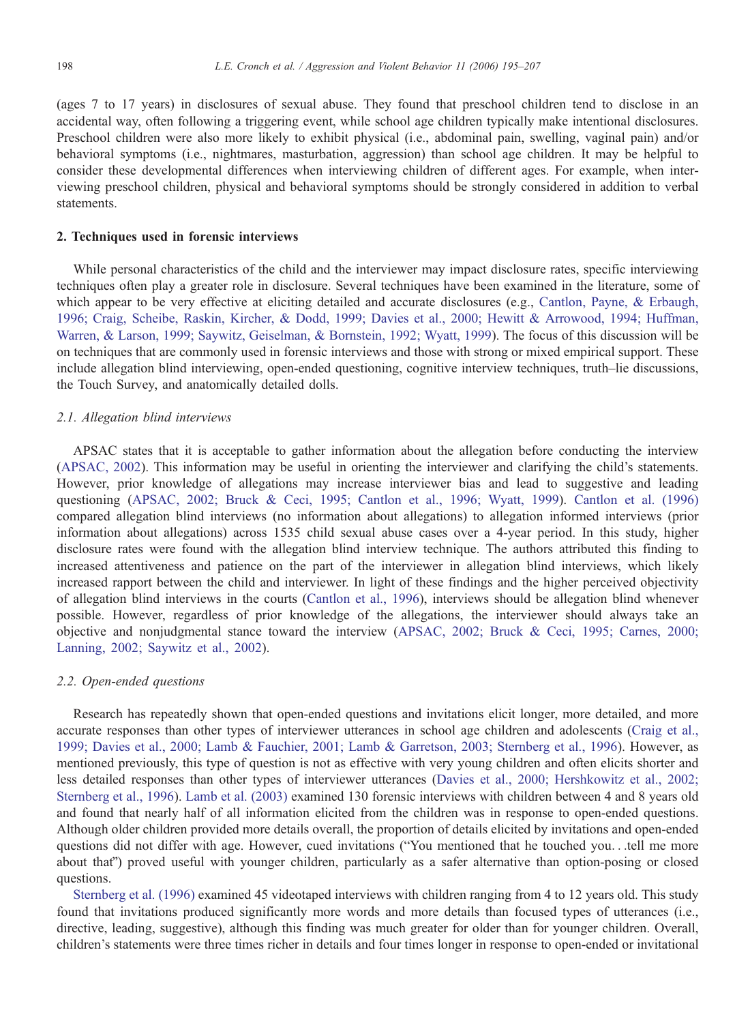(ages 7 to 17 years) in disclosures of sexual abuse. They found that preschool children tend to disclose in an accidental way, often following a triggering event, while school age children typically make intentional disclosures. Preschool children were also more likely to exhibit physical (i.e., abdominal pain, swelling, vaginal pain) and/or behavioral symptoms (i.e., nightmares, masturbation, aggression) than school age children. It may be helpful to consider these developmental differences when interviewing children of different ages. For example, when interviewing preschool children, physical and behavioral symptoms should be strongly considered in addition to verbal statements.

## 2. Techniques used in forensic interviews

While personal characteristics of the child and the interviewer may impact disclosure rates, specific interviewing techniques often play a greater role in disclosure. Several techniques have been examined in the literature, some of which appear to be very effective at eliciting detailed and accurate disclosures (e.g., [Cantlon, Payne, & Erbaugh](#page-11-0), 1996; Craig, Scheibe, Raskin, Kircher, & Dodd, 1999; Davies et al., 2000; Hewitt & Arrowood, 1994; Huffman, Warren, & Larson, 1999; Saywitz, Geiselman, & Bornstein, 1992; Wyatt, 1999). The focus of this discussion will be on techniques that are commonly used in forensic interviews and those with strong or mixed empirical support. These include allegation blind interviewing, open-ended questioning, cognitive interview techniques, truth–lie discussions, the Touch Survey, and anatomically detailed dolls.

## 2.1. Allegation blind interviews

APSAC states that it is acceptable to gather information about the allegation before conducting the interview ([APSAC, 2002\)](#page-11-0). This information may be useful in orienting the interviewer and clarifying the child's statements. However, prior knowledge of allegations may increase interviewer bias and lead to suggestive and leading questioning ([APSAC, 2002; Bruck & Ceci, 1995; Cantlon et al., 1996; Wyatt, 1999\)](#page-11-0). [Cantlon et al. \(1996\)](#page-11-0) compared allegation blind interviews (no information about allegations) to allegation informed interviews (prior information about allegations) across 1535 child sexual abuse cases over a 4-year period. In this study, higher disclosure rates were found with the allegation blind interview technique. The authors attributed this finding to increased attentiveness and patience on the part of the interviewer in allegation blind interviews, which likely increased rapport between the child and interviewer. In light of these findings and the higher perceived objectivity of allegation blind interviews in the courts [\(Cantlon et al., 1996](#page-11-0)), interviews should be allegation blind whenever possible. However, regardless of prior knowledge of the allegations, the interviewer should always take an objective and nonjudgmental stance toward the interview [\(APSAC, 2002; Bruck & Ceci, 1995;](#page-11-0) Carnes, 2000; Lanning, 2002; Saywitz et al., 2002).

# 2.2. Open-ended questions

Research has repeatedly shown that open-ended questions and invitations elicit longer, more detailed, and more accurate responses than other types of interviewer utterances in school age children and adolescents ([Craig et al.,](#page-11-0) 1999; Davies et al., 2000; Lamb & Fauchier, 2001; Lamb & Garretson, 2003; Sternberg et al., 1996). However, as mentioned previously, this type of question is not as effective with very young children and often elicits shorter and less detailed responses than other types of interviewer utterances ([Davies et al., 2000; Hershkowitz et al., 2002;](#page-11-0) Sternberg et al., 1996). [Lamb et al. \(2003\)](#page-11-0) examined 130 forensic interviews with children between 4 and 8 years old and found that nearly half of all information elicited from the children was in response to open-ended questions. Although older children provided more details overall, the proportion of details elicited by invitations and open-ended questions did not differ with age. However, cued invitations ("You mentioned that he touched you...tell me more about that") proved useful with younger children, particularly as a safer alternative than option-posing or closed questions.

[Sternberg et al. \(1996\)](#page-12-0) examined 45 videotaped interviews with children ranging from 4 to 12 years old. This study found that invitations produced significantly more words and more details than focused types of utterances (i.e., directive, leading, suggestive), although this finding was much greater for older than for younger children. Overall, children's statements were three times richer in details and four times longer in response to open-ended or invitational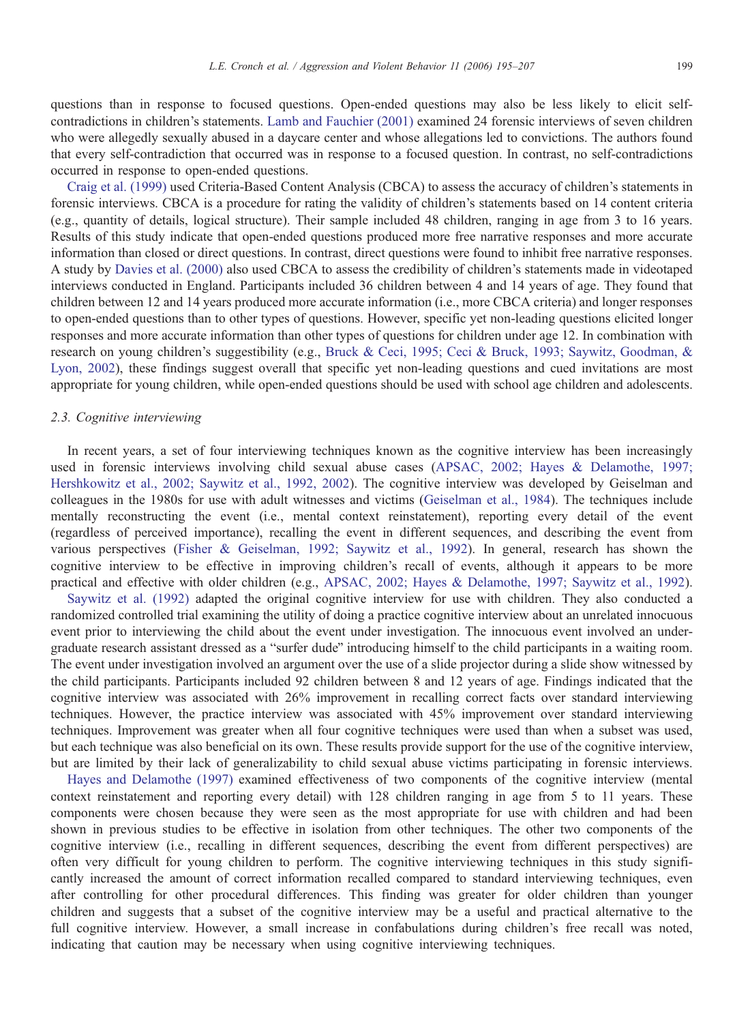questions than in response to focused questions. Open-ended questions may also be less likely to elicit selfcontradictions in children's statements. [Lamb and Fauchier \(2001\)](#page-11-0) examined 24 forensic interviews of seven children who were allegedly sexually abused in a daycare center and whose allegations led to convictions. The authors found that every self-contradiction that occurred was in response to a focused question. In contrast, no self-contradictions occurred in response to open-ended questions.

[Craig et al. \(1999\)](#page-11-0) used Criteria-Based Content Analysis (CBCA) to assess the accuracy of children's statements in forensic interviews. CBCA is a procedure for rating the validity of children's statements based on 14 content criteria (e.g., quantity of details, logical structure). Their sample included 48 children, ranging in age from 3 to 16 years. Results of this study indicate that open-ended questions produced more free narrative responses and more accurate information than closed or direct questions. In contrast, direct questions were found to inhibit free narrative responses. A study by [Davies et al. \(2000\)](#page-11-0) also used CBCA to assess the credibility of children's statements made in videotaped interviews conducted in England. Participants included 36 children between 4 and 14 years of age. They found that children between 12 and 14 years produced more accurate information (i.e., more CBCA criteria) and longer responses to open-ended questions than to other types of questions. However, specific yet non-leading questions elicited longer responses and more accurate information than other types of questions for children under age 12. In combination with research on young children's suggestibility (e.g., [Bruck & Ceci, 1995; Ceci & Bruck, 1993; Saywitz, Goodman, &](#page-11-0) Lyon, 2002), these findings suggest overall that specific yet non-leading questions and cued invitations are most appropriate for young children, while open-ended questions should be used with school age children and adolescents.

#### 2.3. Cognitive interviewing

In recent years, a set of four interviewing techniques known as the cognitive interview has been increasingly used in forensic interviews involving child sexual abuse cases [\(APSAC, 2002; Hayes & Delamothe, 1997;](#page-11-0) Hershkowitz et al., 2002; Saywitz et al., 1992, 2002). The cognitive interview was developed by Geiselman and colleagues in the 1980s for use with adult witnesses and victims [\(Geiselman et al., 1984](#page-11-0)). The techniques include mentally reconstructing the event (i.e., mental context reinstatement), reporting every detail of the event (regardless of perceived importance), recalling the event in different sequences, and describing the event from various perspectives ([Fisher & Geiselman, 1992; Saywitz et al., 1992\)](#page-11-0). In general, research has shown the cognitive interview to be effective in improving children's recall of events, although it appears to be more practical and effective with older children (e.g., [APSAC, 2002; Hayes & Delamothe, 1997; Saywitz et al., 1992\)](#page-11-0).

[Saywitz et al. \(1992\)](#page-12-0) adapted the original cognitive interview for use with children. They also conducted a randomized controlled trial examining the utility of doing a practice cognitive interview about an unrelated innocuous event prior to interviewing the child about the event under investigation. The innocuous event involved an undergraduate research assistant dressed as a "surfer dude" introducing himself to the child participants in a waiting room. The event under investigation involved an argument over the use of a slide projector during a slide show witnessed by the child participants. Participants included 92 children between 8 and 12 years of age. Findings indicated that the cognitive interview was associated with 26% improvement in recalling correct facts over standard interviewing techniques. However, the practice interview was associated with 45% improvement over standard interviewing techniques. Improvement was greater when all four cognitive techniques were used than when a subset was used, but each technique was also beneficial on its own. These results provide support for the use of the cognitive interview, but are limited by their lack of generalizability to child sexual abuse victims participating in forensic interviews.

[Hayes and Delamothe \(1997\)](#page-11-0) examined effectiveness of two components of the cognitive interview (mental context reinstatement and reporting every detail) with 128 children ranging in age from 5 to 11 years. These components were chosen because they were seen as the most appropriate for use with children and had been shown in previous studies to be effective in isolation from other techniques. The other two components of the cognitive interview (i.e., recalling in different sequences, describing the event from different perspectives) are often very difficult for young children to perform. The cognitive interviewing techniques in this study significantly increased the amount of correct information recalled compared to standard interviewing techniques, even after controlling for other procedural differences. This finding was greater for older children than younger children and suggests that a subset of the cognitive interview may be a useful and practical alternative to the full cognitive interview. However, a small increase in confabulations during children's free recall was noted, indicating that caution may be necessary when using cognitive interviewing techniques.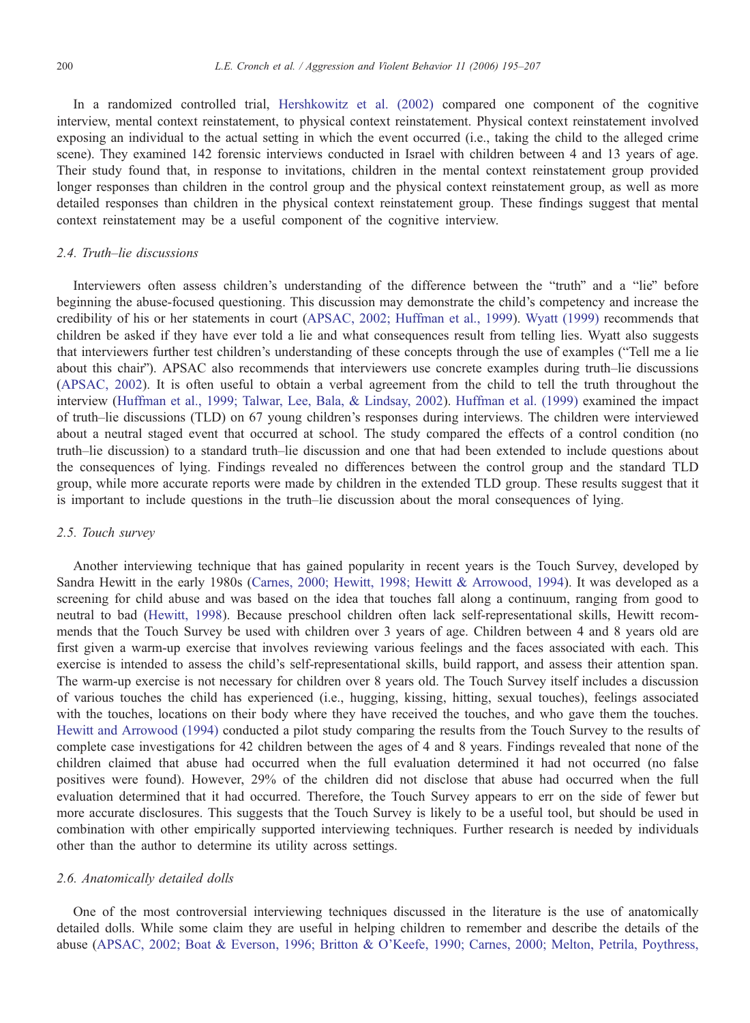In a randomized controlled trial, [Hershkowitz et al. \(2002\)](#page-11-0) compared one component of the cognitive interview, mental context reinstatement, to physical context reinstatement. Physical context reinstatement involved exposing an individual to the actual setting in which the event occurred (i.e., taking the child to the alleged crime scene). They examined 142 forensic interviews conducted in Israel with children between 4 and 13 years of age. Their study found that, in response to invitations, children in the mental context reinstatement group provided longer responses than children in the control group and the physical context reinstatement group, as well as more detailed responses than children in the physical context reinstatement group. These findings suggest that mental context reinstatement may be a useful component of the cognitive interview.

# 2.4. Truth–lie discussions

Interviewers often assess children's understanding of the difference between the "truth" and a "lie" before beginning the abuse-focused questioning. This discussion may demonstrate the child's competency and increase the credibility of his or her statements in court ([APSAC, 2002; Huffman et al., 1999\).](#page-11-0) [Wyatt \(1999\)](#page-12-0) recommends that children be asked if they have ever told a lie and what consequences result from telling lies. Wyatt also suggests that interviewers further test children's understanding of these concepts through the use of examples ("Tell me a lie about this chair"). APSAC also recommends that interviewers use concrete examples during truth–lie discussions ([APSAC, 2002\).](#page-11-0) It is often useful to obtain a verbal agreement from the child to tell the truth throughout the interview [\(Huffman et al., 1999; Talwar, Lee, Bala, & Lindsay, 2002\)](#page-11-0). [Huffman et al. \(1999\)](#page-11-0) examined the impact of truth–lie discussions (TLD) on 67 young children's responses during interviews. The children were interviewed about a neutral staged event that occurred at school. The study compared the effects of a control condition (no truth–lie discussion) to a standard truth–lie discussion and one that had been extended to include questions about the consequences of lying. Findings revealed no differences between the control group and the standard TLD group, while more accurate reports were made by children in the extended TLD group. These results suggest that it is important to include questions in the truth–lie discussion about the moral consequences of lying.

## 2.5. Touch survey

Another interviewing technique that has gained popularity in recent years is the Touch Survey, developed by Sandra Hewitt in the early 1980s ([Carnes, 2000; Hewitt, 1998; Hewitt & Arrowood, 1994\)](#page-11-0). It was developed as a screening for child abuse and was based on the idea that touches fall along a continuum, ranging from good to neutral to bad [\(Hewitt, 1998](#page-11-0)). Because preschool children often lack self-representational skills, Hewitt recommends that the Touch Survey be used with children over 3 years of age. Children between 4 and 8 years old are first given a warm-up exercise that involves reviewing various feelings and the faces associated with each. This exercise is intended to assess the child's self-representational skills, build rapport, and assess their attention span. The warm-up exercise is not necessary for children over 8 years old. The Touch Survey itself includes a discussion of various touches the child has experienced (i.e., hugging, kissing, hitting, sexual touches), feelings associated with the touches, locations on their body where they have received the touches, and who gave them the touches. [Hewitt and Arrowood \(1994\)](#page-11-0) conducted a pilot study comparing the results from the Touch Survey to the results of complete case investigations for 42 children between the ages of 4 and 8 years. Findings revealed that none of the children claimed that abuse had occurred when the full evaluation determined it had not occurred (no false positives were found). However, 29% of the children did not disclose that abuse had occurred when the full evaluation determined that it had occurred. Therefore, the Touch Survey appears to err on the side of fewer but more accurate disclosures. This suggests that the Touch Survey is likely to be a useful tool, but should be used in combination with other empirically supported interviewing techniques. Further research is needed by individuals other than the author to determine its utility across settings.

#### 2.6. Anatomically detailed dolls

One of the most controversial interviewing techniques discussed in the literature is the use of anatomically detailed dolls. While some claim they are useful in helping children to remember and describe the details of the abuse ([APSAC, 2002; Boat & Everson, 1996; Britton & O'Keefe, 1990; Carnes, 2000; Melton, Petrila, Poythress,](#page-11-0)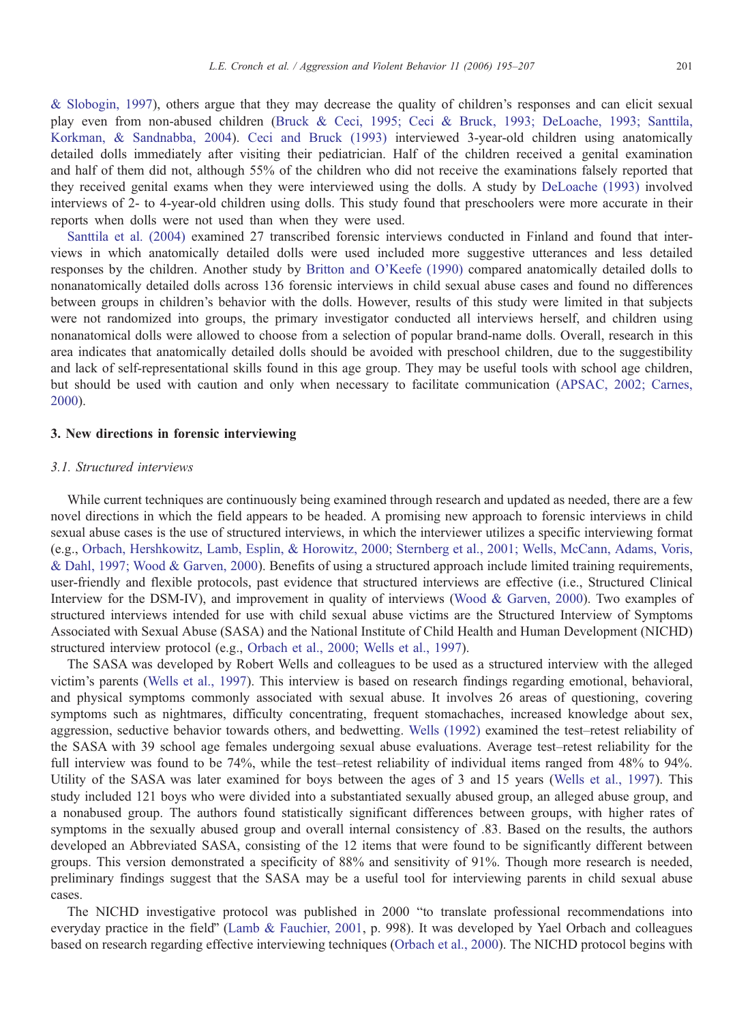& Slobogin, 1997), others argue that they may decrease the quality of children's responses and can elicit sexual play even from non-abused children ([Bruck & Ceci, 1995; Ceci & Bruck, 1993; DeLoache, 1993; Santtila,](#page-11-0) Korkman, & Sandnabba, 2004). [Ceci and Bruck \(1993\)](#page-11-0) interviewed 3-year-old children using anatomically detailed dolls immediately after visiting their pediatrician. Half of the children received a genital examination and half of them did not, although 55% of the children who did not receive the examinations falsely reported that they received genital exams when they were interviewed using the dolls. A study by [DeLoache \(1993](#page-11-0)) involved interviews of 2- to 4-year-old children using dolls. This study found that preschoolers were more accurate in their reports when dolls were not used than when they were used.

[Santtila et al. \(2004\)](#page-12-0) examined 27 transcribed forensic interviews conducted in Finland and found that interviews in which anatomically detailed dolls were used included more suggestive utterances and less detailed responses by the children. Another study by [Britton and O'Keefe \(1990\)](#page-11-0) compared anatomically detailed dolls to nonanatomically detailed dolls across 136 forensic interviews in child sexual abuse cases and found no differences between groups in children's behavior with the dolls. However, results of this study were limited in that subjects were not randomized into groups, the primary investigator conducted all interviews herself, and children using nonanatomical dolls were allowed to choose from a selection of popular brand-name dolls. Overall, research in this area indicates that anatomically detailed dolls should be avoided with preschool children, due to the suggestibility and lack of self-representational skills found in this age group. They may be useful tools with school age children, but should be used with caution and only when necessary to facilitate communication ([APSAC, 2002; Carnes,](#page-11-0) 2000).

#### 3. New directions in forensic interviewing

## 3.1. Structured interviews

While current techniques are continuously being examined through research and updated as needed, there are a few novel directions in which the field appears to be headed. A promising new approach to forensic interviews in child sexual abuse cases is the use of structured interviews, in which the interviewer utilizes a specific interviewing format (e.g., [Orbach, Hershkowitz, Lamb, Esplin, & Horowitz, 2000; Sternberg et al., 2001; Wells, McCann, Adams, Voris,](#page-12-0) & Dahl, 1997; Wood & Garven, 2000). Benefits of using a structured approach include limited training requirements, user-friendly and flexible protocols, past evidence that structured interviews are effective (i.e., Structured Clinical Interview for the DSM-IV), and improvement in quality of interviews [\(Wood & Garven, 2000](#page-12-0)). Two examples of structured interviews intended for use with child sexual abuse victims are the Structured Interview of Symptoms Associated with Sexual Abuse (SASA) and the National Institute of Child Health and Human Development (NICHD) structured interview protocol (e.g., [Orbach et al., 2000; Wells et al., 1997](#page-12-0)).

The SASA was developed by Robert Wells and colleagues to be used as a structured interview with the alleged victim's parents ([Wells et al., 1997\)](#page-12-0). This interview is based on research findings regarding emotional, behavioral, and physical symptoms commonly associated with sexual abuse. It involves 26 areas of questioning, covering symptoms such as nightmares, difficulty concentrating, frequent stomachaches, increased knowledge about sex, aggression, seductive behavior towards others, and bedwetting. [Wells \(1992\)](#page-12-0) examined the test–retest reliability of the SASA with 39 school age females undergoing sexual abuse evaluations. Average test–retest reliability for the full interview was found to be 74%, while the test–retest reliability of individual items ranged from 48% to 94%. Utility of the SASA was later examined for boys between the ages of 3 and 15 years [\(Wells et al., 1997](#page-12-0)). This study included 121 boys who were divided into a substantiated sexually abused group, an alleged abuse group, and a nonabused group. The authors found statistically significant differences between groups, with higher rates of symptoms in the sexually abused group and overall internal consistency of .83. Based on the results, the authors developed an Abbreviated SASA, consisting of the 12 items that were found to be significantly different between groups. This version demonstrated a specificity of 88% and sensitivity of 91%. Though more research is needed, preliminary findings suggest that the SASA may be a useful tool for interviewing parents in child sexual abuse cases.

The NICHD investigative protocol was published in 2000 "to translate professional recommendations into everyday practice in the field" [\(Lamb & Fauchier, 2001,](#page-11-0) p. 998). It was developed by Yael Orbach and colleagues based on research regarding effective interviewing techniques ([Orbach et al., 2000\)](#page-12-0). The NICHD protocol begins with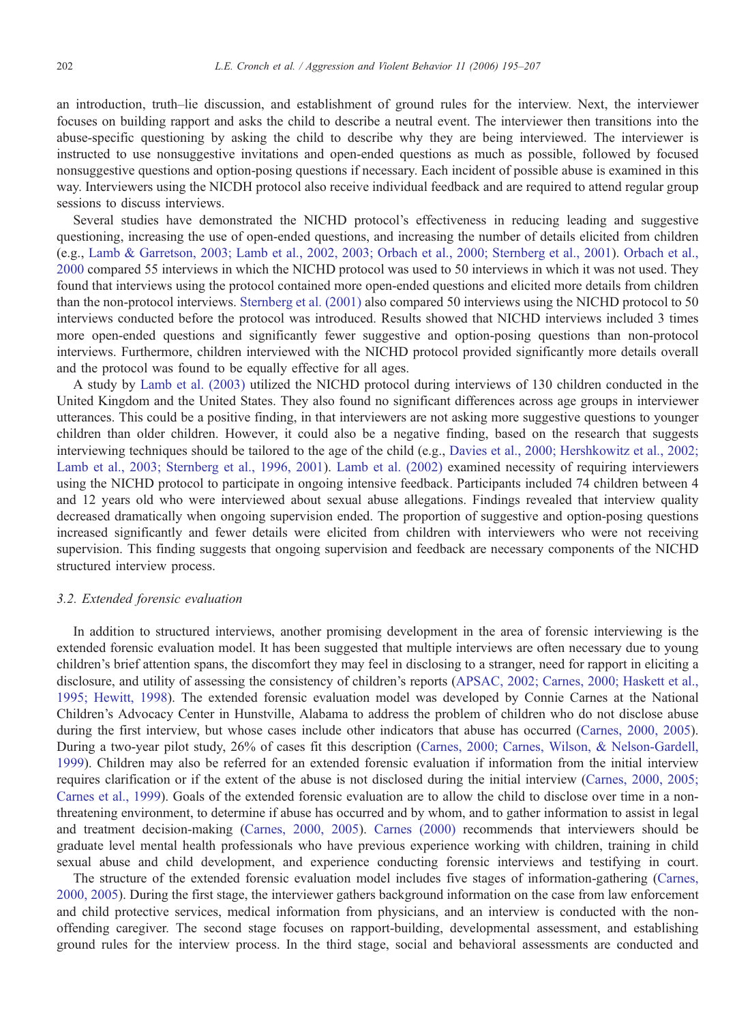an introduction, truth–lie discussion, and establishment of ground rules for the interview. Next, the interviewer focuses on building rapport and asks the child to describe a neutral event. The interviewer then transitions into the abuse-specific questioning by asking the child to describe why they are being interviewed. The interviewer is instructed to use nonsuggestive invitations and open-ended questions as much as possible, followed by focused nonsuggestive questions and option-posing questions if necessary. Each incident of possible abuse is examined in this way. Interviewers using the NICDH protocol also receive individual feedback and are required to attend regular group sessions to discuss interviews.

Several studies have demonstrated the NICHD protocol's effectiveness in reducing leading and suggestive questioning, increasing the use of open-ended questions, and increasing the number of details elicited from children (e.g., [Lamb & Garretson, 2003; Lamb et al., 2002, 2003; Orbach et al., 2000; Sternberg et al., 2001\)](#page-11-0). [Orbach et al.,](#page-12-0) 2000 compared 55 interviews in which the NICHD protocol was used to 50 interviews in which it was not used. They found that interviews using the protocol contained more open-ended questions and elicited more details from children than the non-protocol interviews. [Sternberg et al. \(2001\)](#page-12-0) also compared 50 interviews using the NICHD protocol to 50 interviews conducted before the protocol was introduced. Results showed that NICHD interviews included 3 times more open-ended questions and significantly fewer suggestive and option-posing questions than non-protocol interviews. Furthermore, children interviewed with the NICHD protocol provided significantly more details overall and the protocol was found to be equally effective for all ages.

A study by [Lamb et al. \(2003\)](#page-11-0) utilized the NICHD protocol during interviews of 130 children conducted in the United Kingdom and the United States. They also found no significant differences across age groups in interviewer utterances. This could be a positive finding, in that interviewers are not asking more suggestive questions to younger children than older children. However, it could also be a negative finding, based on the research that suggests interviewing techniques should be tailored to the age of the child (e.g., [Davies et al., 2000; Hershkowitz et al., 2002;](#page-11-0) Lamb et al., 2003; Sternberg et al., 1996, 2001). [Lamb et al. \(2002\)](#page-11-0) examined necessity of requiring interviewers using the NICHD protocol to participate in ongoing intensive feedback. Participants included 74 children between 4 and 12 years old who were interviewed about sexual abuse allegations. Findings revealed that interview quality decreased dramatically when ongoing supervision ended. The proportion of suggestive and option-posing questions increased significantly and fewer details were elicited from children with interviewers who were not receiving supervision. This finding suggests that ongoing supervision and feedback are necessary components of the NICHD structured interview process.

# 3.2. Extended forensic evaluation

In addition to structured interviews, another promising development in the area of forensic interviewing is the extended forensic evaluation model. It has been suggested that multiple interviews are often necessary due to young children's brief attention spans, the discomfort they may feel in disclosing to a stranger, need for rapport in eliciting a disclosure, and utility of assessing the consistency of children's reports ([APSAC, 2002; Carnes, 2000; Haskett et al.,](#page-11-0) 1995; Hewitt, 1998). The extended forensic evaluation model was developed by Connie Carnes at the National Children's Advocacy Center in Hunstville, Alabama to address the problem of children who do not disclose abuse during the first interview, but whose cases include other indicators that abuse has occurred [\(Carnes, 2000, 2005\)](#page-11-0). During a two-year pilot study, 26% of cases fit this description ([Carnes, 2000; Carnes, Wilson, & Nelson-Gardell,](#page-11-0) 1999). Children may also be referred for an extended forensic evaluation if information from the initial interview requires clarification or if the extent of the abuse is not disclosed during the initial interview ([Carnes, 2000, 2005](#page-11-0); Carnes et al., 1999). Goals of the extended forensic evaluation are to allow the child to disclose over time in a nonthreatening environment, to determine if abuse has occurred and by whom, and to gather information to assist in legal and treatment decision-making [\(Carnes, 2000, 2005](#page-11-0)). [Carnes \(2000\)](#page-11-0) recommends that interviewers should be graduate level mental health professionals who have previous experience working with children, training in child sexual abuse and child development, and experience conducting forensic interviews and testifying in court.

The structure of the extended forensic evaluation model includes five stages of information-gathering [\(Carnes,](#page-11-0) 2000, 2005). During the first stage, the interviewer gathers background information on the case from law enforcement and child protective services, medical information from physicians, and an interview is conducted with the nonoffending caregiver. The second stage focuses on rapport-building, developmental assessment, and establishing ground rules for the interview process. In the third stage, social and behavioral assessments are conducted and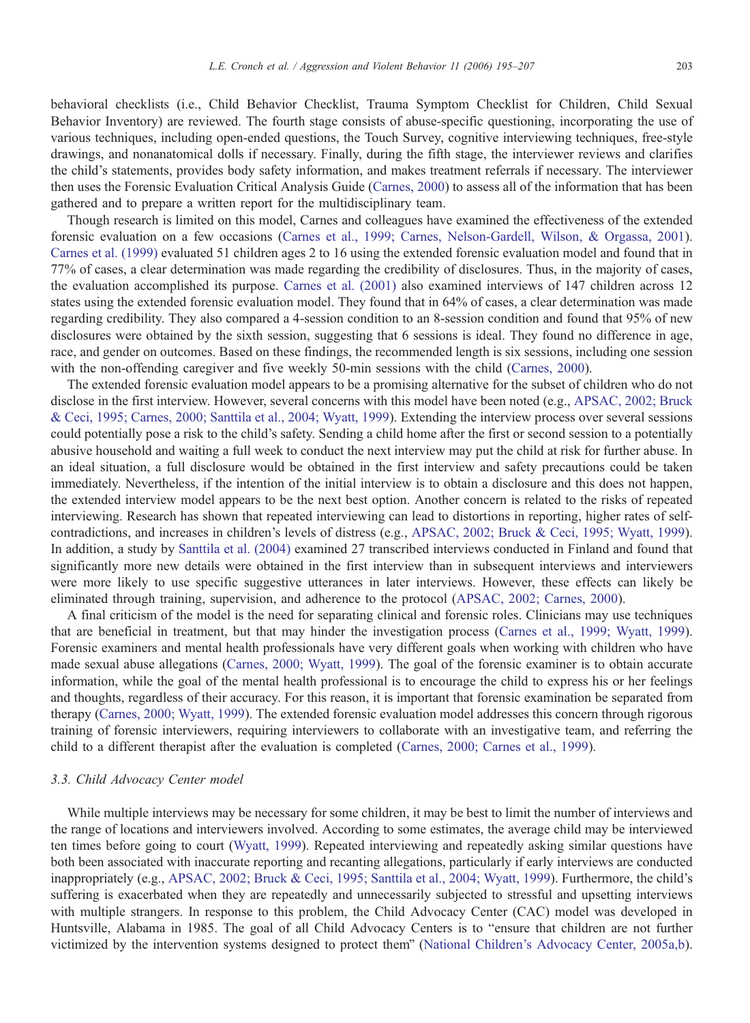behavioral checklists (i.e., Child Behavior Checklist, Trauma Symptom Checklist for Children, Child Sexual Behavior Inventory) are reviewed. The fourth stage consists of abuse-specific questioning, incorporating the use of various techniques, including open-ended questions, the Touch Survey, cognitive interviewing techniques, free-style drawings, and nonanatomical dolls if necessary. Finally, during the fifth stage, the interviewer reviews and clarifies the child's statements, provides body safety information, and makes treatment referrals if necessary. The interviewer then uses the Forensic Evaluation Critical Analysis Guide ([Carnes, 2000\)](#page-11-0) to assess all of the information that has been gathered and to prepare a written report for the multidisciplinary team.

Though research is limited on this model, Carnes and colleagues have examined the effectiveness of the extended forensic evaluation on a few occasions ([Carnes et al., 1999; Carnes, Nelson-Gardell, Wilson, & Orgassa, 2001\).](#page-11-0) [Carnes et al. \(1999\)](#page-11-0) evaluated 51 children ages 2 to 16 using the extended forensic evaluation model and found that in 77% of cases, a clear determination was made regarding the credibility of disclosures. Thus, in the majority of cases, the evaluation accomplished its purpose. [Carnes et al. \(2001\)](#page-11-0) also examined interviews of 147 children across 12 states using the extended forensic evaluation model. They found that in 64% of cases, a clear determination was made regarding credibility. They also compared a 4-session condition to an 8-session condition and found that 95% of new disclosures were obtained by the sixth session, suggesting that 6 sessions is ideal. They found no difference in age, race, and gender on outcomes. Based on these findings, the recommended length is six sessions, including one session with the non-offending caregiver and five weekly 50-min sessions with the child [\(Carnes, 2000](#page-11-0)).

The extended forensic evaluation model appears to be a promising alternative for the subset of children who do not disclose in the first interview. However, several concerns with this model have been noted (e.g., [APSAC, 2002; Bruck](#page-11-0) & Ceci, 1995; Carnes, 2000; Santtila et al., 2004; Wyatt, 1999). Extending the interview process over several sessions could potentially pose a risk to the child's safety. Sending a child home after the first or second session to a potentially abusive household and waiting a full week to conduct the next interview may put the child at risk for further abuse. In an ideal situation, a full disclosure would be obtained in the first interview and safety precautions could be taken immediately. Nevertheless, if the intention of the initial interview is to obtain a disclosure and this does not happen, the extended interview model appears to be the next best option. Another concern is related to the risks of repeated interviewing. Research has shown that repeated interviewing can lead to distortions in reporting, higher rates of selfcontradictions, and increases in children's levels of distress (e.g., [APSAC, 2002; Bruck & Ceci, 1995; Wyatt, 1999](#page-11-0)). In addition, a study by [Santtila et al. \(2004\)](#page-12-0) examined 27 transcribed interviews conducted in Finland and found that significantly more new details were obtained in the first interview than in subsequent interviews and interviewers were more likely to use specific suggestive utterances in later interviews. However, these effects can likely be eliminated through training, supervision, and adherence to the protocol ([APSAC, 2002; Carnes, 2000\)](#page-11-0).

A final criticism of the model is the need for separating clinical and forensic roles. Clinicians may use techniques that are beneficial in treatment, but that may hinder the investigation process [\(Carnes et al., 1999; Wyatt, 1999](#page-11-0)). Forensic examiners and mental health professionals have very different goals when working with children who have made sexual abuse allegations [\(Carnes, 2000; Wyatt, 1999](#page-11-0)). The goal of the forensic examiner is to obtain accurate information, while the goal of the mental health professional is to encourage the child to express his or her feelings and thoughts, regardless of their accuracy. For this reason, it is important that forensic examination be separated from therapy [\(Carnes, 2000; Wyatt, 1999](#page-11-0)). The extended forensic evaluation model addresses this concern through rigorous training of forensic interviewers, requiring interviewers to collaborate with an investigative team, and referring the child to a different therapist after the evaluation is completed [\(Carnes, 2000; Carnes et al., 1999](#page-11-0)).

#### 3.3. Child Advocacy Center model

While multiple interviews may be necessary for some children, it may be best to limit the number of interviews and the range of locations and interviewers involved. According to some estimates, the average child may be interviewed ten times before going to court [\(Wyatt, 1999](#page-12-0)). Repeated interviewing and repeatedly asking similar questions have both been associated with inaccurate reporting and recanting allegations, particularly if early interviews are conducted inappropriately (e.g., [APSAC, 2002; Bruck & Ceci, 1995; Santtila et al., 2004; Wyatt, 1999\)](#page-11-0). Furthermore, the child's suffering is exacerbated when they are repeatedly and unnecessarily subjected to stressful and upsetting interviews with multiple strangers. In response to this problem, the Child Advocacy Center (CAC) model was developed in Huntsville, Alabama in 1985. The goal of all Child Advocacy Centers is to "ensure that children are not further victimized by the intervention systems designed to protect them" [\(National Children's Advocacy Center, 2005a,b](#page-12-0)).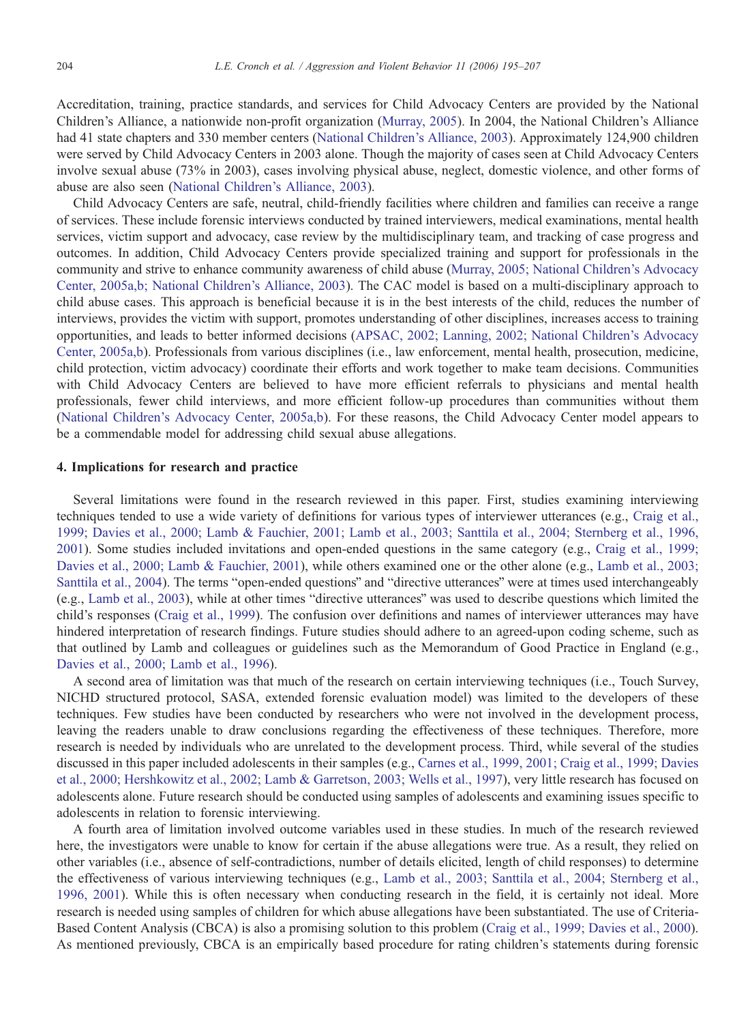Accreditation, training, practice standards, and services for Child Advocacy Centers are provided by the National Children's Alliance, a nationwide non-profit organization [\(Murray, 2005](#page-11-0)). In 2004, the National Children's Alliance had 41 state chapters and 330 member centers [\(National Children's Alliance, 2003](#page-12-0)). Approximately 124,900 children were served by Child Advocacy Centers in 2003 alone. Though the majority of cases seen at Child Advocacy Centers involve sexual abuse (73% in 2003), cases involving physical abuse, neglect, domestic violence, and other forms of abuse are also seen [\(National Children's Alliance, 2003](#page-12-0)).

Child Advocacy Centers are safe, neutral, child-friendly facilities where children and families can receive a range of services. These include forensic interviews conducted by trained interviewers, medical examinations, mental health services, victim support and advocacy, case review by the multidisciplinary team, and tracking of case progress and outcomes. In addition, Child Advocacy Centers provide specialized training and support for professionals in the community and strive to enhance community awareness of child abuse [\(Murray, 2005; National Children's Advocacy](#page-11-0) Center, 2005a,b; National Children's Alliance, 2003). The CAC model is based on a multi-disciplinary approach to child abuse cases. This approach is beneficial because it is in the best interests of the child, reduces the number of interviews, provides the victim with support, promotes understanding of other disciplines, increases access to training opportunities, and leads to better informed decisions ([APSAC, 2002; Lanning, 2002; National Children's Advocacy](#page-11-0) Center, 2005a,b). Professionals from various disciplines (i.e., law enforcement, mental health, prosecution, medicine, child protection, victim advocacy) coordinate their efforts and work together to make team decisions. Communities with Child Advocacy Centers are believed to have more efficient referrals to physicians and mental health professionals, fewer child interviews, and more efficient follow-up procedures than communities without them ([National Children's Advocacy Center, 2005a,b\)](#page-12-0). For these reasons, the Child Advocacy Center model appears to be a commendable model for addressing child sexual abuse allegations.

## 4. Implications for research and practice

Several limitations were found in the research reviewed in this paper. First, studies examining interviewing techniques tended to use a wide variety of definitions for various types of interviewer utterances (e.g., [Craig et al.,](#page-11-0) 1999; Davies et al., 2000; Lamb & Fauchier, 2001; Lamb et al., 2003; Santtila et al., 2004; Sternberg et al., 1996, 2001). Some studies included invitations and open-ended questions in the same category (e.g., [Craig et al., 1999;](#page-11-0) Davies et al., 2000; Lamb & Fauchier, 2001), while others examined one or the other alone (e.g., [Lamb et al., 2003;](#page-11-0) Santtila et al., 2004). The terms "open-ended questions" and "directive utterances" were at times used interchangeably (e.g., [Lamb et al., 2003\),](#page-11-0) while at other times "directive utterances" was used to describe questions which limited the child's responses [\(Craig et al., 1999](#page-11-0)). The confusion over definitions and names of interviewer utterances may have hindered interpretation of research findings. Future studies should adhere to an agreed-upon coding scheme, such as that outlined by Lamb and colleagues or guidelines such as the Memorandum of Good Practice in England (e.g., [Davies et al., 2000; Lamb et al., 1996](#page-11-0)).

A second area of limitation was that much of the research on certain interviewing techniques (i.e., Touch Survey, NICHD structured protocol, SASA, extended forensic evaluation model) was limited to the developers of these techniques. Few studies have been conducted by researchers who were not involved in the development process, leaving the readers unable to draw conclusions regarding the effectiveness of these techniques. Therefore, more research is needed by individuals who are unrelated to the development process. Third, while several of the studies discussed in this paper included adolescents in their samples (e.g., [Carnes et al., 1999, 2001; Craig et al., 1999; Davies](#page-11-0) et al., 2000; Hershkowitz et al., 2002; Lamb & Garretson, 2003; Wells et al., 1997), very little research has focused on adolescents alone. Future research should be conducted using samples of adolescents and examining issues specific to adolescents in relation to forensic interviewing.

A fourth area of limitation involved outcome variables used in these studies. In much of the research reviewed here, the investigators were unable to know for certain if the abuse allegations were true. As a result, they relied on other variables (i.e., absence of self-contradictions, number of details elicited, length of child responses) to determine the effectiveness of various interviewing techniques (e.g., [Lamb et al., 2003; Santtila et al., 2004; Sternberg et al.,](#page-11-0) 1996, 2001). While this is often necessary when conducting research in the field, it is certainly not ideal. More research is needed using samples of children for which abuse allegations have been substantiated. The use of Criteria-Based Content Analysis (CBCA) is also a promising solution to this problem ([Craig et al., 1999; Davies et al., 2000\)](#page-11-0). As mentioned previously, CBCA is an empirically based procedure for rating children's statements during forensic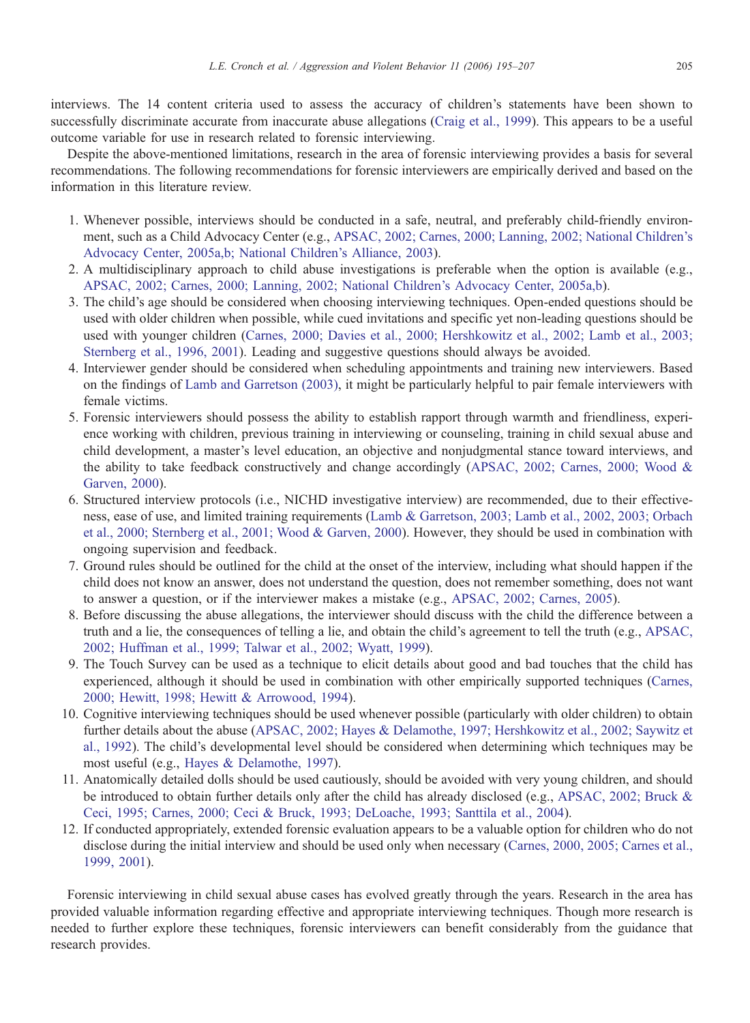interviews. The 14 content criteria used to assess the accuracy of children's statements have been shown to successfully discriminate accurate from inaccurate abuse allegations ([Craig et al., 1999\)](#page-11-0). This appears to be a useful outcome variable for use in research related to forensic interviewing.

Despite the above-mentioned limitations, research in the area of forensic interviewing provides a basis for several recommendations. The following recommendations for forensic interviewers are empirically derived and based on the information in this literature review.

- 1. Whenever possible, interviews should be conducted in a safe, neutral, and preferably child-friendly environment, such as a Child Advocacy Center (e.g., [APSAC, 2002; Carnes, 2000; Lanning, 2002; National Children's](#page-11-0) Advocacy Center, 2005a,b; National Children's Alliance, 2003).
- 2. A multidisciplinary approach to child abuse investigations is preferable when the option is available (e.g., [APSAC, 2002; Carnes, 2000; Lanning, 2002; National Children's Advocacy Center, 2005a,b\)](#page-11-0).
- 3. The child's age should be considered when choosing interviewing techniques. Open-ended questions should be used with older children when possible, while cued invitations and specific yet non-leading questions should be used with younger children [\(Carnes, 2000; Davies et al., 2000; Hershkowitz et al., 2002; Lamb et al., 2003;](#page-11-0) Sternberg et al., 1996, 2001). Leading and suggestive questions should always be avoided.
- 4. Interviewer gender should be considered when scheduling appointments and training new interviewers. Based on the findings of [Lamb and Garretson \(2003\), i](#page-11-0)t might be particularly helpful to pair female interviewers with female victims.
- 5. Forensic interviewers should possess the ability to establish rapport through warmth and friendliness, experience working with children, previous training in interviewing or counseling, training in child sexual abuse and child development, a master's level education, an objective and nonjudgmental stance toward interviews, and the ability to take feedback constructively and change accordingly ([APSAC, 2002; Carnes, 2000; Wood &](#page-11-0) Garven, 2000).
- 6. Structured interview protocols (i.e., NICHD investigative interview) are recommended, due to their effectiveness, ease of use, and limited training requirements [\(Lamb & Garretson, 2003; Lamb et al., 2002, 2003; Orbach](#page-11-0) et al., 2000; Sternberg et al., 2001; Wood & Garven, 2000). However, they should be used in combination with ongoing supervision and feedback.
- 7. Ground rules should be outlined for the child at the onset of the interview, including what should happen if the child does not know an answer, does not understand the question, does not remember something, does not want to answer a question, or if the interviewer makes a mistake (e.g., [APSAC, 2002; Carnes, 2005\)](#page-11-0).
- 8. Before discussing the abuse allegations, the interviewer should discuss with the child the difference between a truth and a lie, the consequences of telling a lie, and obtain the child's agreement to tell the truth (e.g., [APSAC,](#page-11-0) 2002; Huffman et al., 1999; Talwar et al., 2002; Wyatt, 1999).
- 9. The Touch Survey can be used as a technique to elicit details about good and bad touches that the child has experienced, although it should be used in combination with other empirically supported techniques [\(Carnes,](#page-11-0) 2000; Hewitt, 1998; Hewitt & Arrowood, 1994).
- 10. Cognitive interviewing techniques should be used whenever possible (particularly with older children) to obtain further details about the abuse ([APSAC, 2002; Hayes & Delamothe, 1997; Hershkowitz et al., 2002; Saywitz et](#page-11-0) al., 1992). The child's developmental level should be considered when determining which techniques may be most useful (e.g., [Hayes & Delamothe, 1997\)](#page-11-0).
- 11. Anatomically detailed dolls should be used cautiously, should be avoided with very young children, and should be introduced to obtain further details only after the child has already disclosed (e.g., [APSAC, 2002; Bruck &](#page-11-0) Ceci, 1995; Carnes, 2000; Ceci & Bruck, 1993; DeLoache, 1993; Santtila et al., 2004).
- 12. If conducted appropriately, extended forensic evaluation appears to be a valuable option for children who do not disclose during the initial interview and should be used only when necessary [\(Carnes, 2000, 2005; Carnes et al.,](#page-11-0) 1999, 2001).

Forensic interviewing in child sexual abuse cases has evolved greatly through the years. Research in the area has provided valuable information regarding effective and appropriate interviewing techniques. Though more research is needed to further explore these techniques, forensic interviewers can benefit considerably from the guidance that research provides.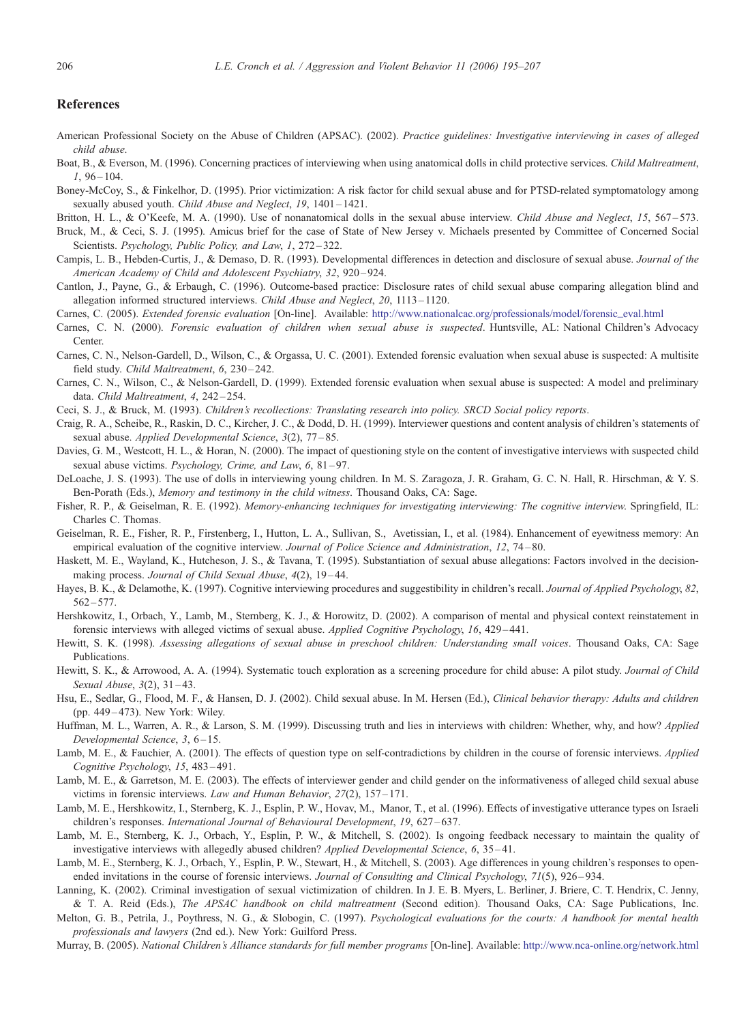#### <span id="page-11-0"></span>References

- American Professional Society on the Abuse of Children (APSAC). (2002). Practice guidelines: Investigative interviewing in cases of alleged child abuse.
- Boat, B., & Everson, M. (1996). Concerning practices of interviewing when using anatomical dolls in child protective services. Child Maltreatment,  $1,96 - 104.$
- Boney-McCoy, S., & Finkelhor, D. (1995). Prior victimization: A risk factor for child sexual abuse and for PTSD-related symptomatology among sexually abused youth. Child Abuse and Neglect, 19, 1401-1421.
- Britton, H. L., & O'Keefe, M. A. (1990). Use of nonanatomical dolls in the sexual abuse interview. Child Abuse and Neglect, 15, 567-573.
- Bruck, M., & Ceci, S. J. (1995). Amicus brief for the case of State of New Jersey v. Michaels presented by Committee of Concerned Social Scientists. Psychology, Public Policy, and Law, 1, 272–322.
- Campis, L. B., Hebden-Curtis, J., & Demaso, D. R. (1993). Developmental differences in detection and disclosure of sexual abuse. Journal of the American Academy of Child and Adolescent Psychiatry, 32, 920-924.
- Cantlon, J., Payne, G., & Erbaugh, C. (1996). Outcome-based practice: Disclosure rates of child sexual abuse comparing allegation blind and allegation informed structured interviews. Child Abuse and Neglect, 20, 1113 – 1120.
- Carnes, C. (2005). Extended forensic evaluation [On-line]. Available: [http://www.nationalcac.org/professionals/model/forensic\\_eval.html](http://www.nationalcac.org/professionals/model/forensic_eval.htm)
- Carnes, C. N. (2000). Forensic evaluation of children when sexual abuse is suspected. Huntsville, AL: National Children's Advocacy Center.
- Carnes, C. N., Nelson-Gardell, D., Wilson, C., & Orgassa, U. C. (2001). Extended forensic evaluation when sexual abuse is suspected: A multisite field study. Child Maltreatment, 6, 230-242.
- Carnes, C. N., Wilson, C., & Nelson-Gardell, D. (1999). Extended forensic evaluation when sexual abuse is suspected: A model and preliminary data. Child Maltreatment, 4, 242-254.
- Ceci, S. J., & Bruck, M. (1993). Children's recollections: Translating research into policy. SRCD Social policy reports.
- Craig, R. A., Scheibe, R., Raskin, D. C., Kircher, J. C., & Dodd, D. H. (1999). Interviewer questions and content analysis of children's statements of sexual abuse. Applied Developmental Science, 3(2), 77 – 85.
- Davies, G. M., Westcott, H. L., & Horan, N. (2000). The impact of questioning style on the content of investigative interviews with suspected child sexual abuse victims. Psychology, Crime, and Law, 6, 81-97.
- DeLoache, J. S. (1993). The use of dolls in interviewing young children. In M. S. Zaragoza, J. R. Graham, G. C. N. Hall, R. Hirschman, & Y. S. Ben-Porath (Eds.), Memory and testimony in the child witness. Thousand Oaks, CA: Sage.
- Fisher, R. P., & Geiselman, R. E. (1992). Memory-enhancing techniques for investigating interviewing: The cognitive interview. Springfield, IL: Charles C. Thomas.
- Geiselman, R. E., Fisher, R. P., Firstenberg, I., Hutton, L. A., Sullivan, S., Avetissian, I., et al. (1984). Enhancement of eyewitness memory: An empirical evaluation of the cognitive interview. Journal of Police Science and Administration, 12, 74–80.
- Haskett, M. E., Wayland, K., Hutcheson, J. S., & Tavana, T. (1995). Substantiation of sexual abuse allegations: Factors involved in the decisionmaking process. Journal of Child Sexual Abuse, 4(2), 19-44.
- Hayes, B. K., & Delamothe, K. (1997). Cognitive interviewing procedures and suggestibility in children's recall. Journal of Applied Psychology, 82,  $562 - 577.$
- Hershkowitz, I., Orbach, Y., Lamb, M., Sternberg, K. J., & Horowitz, D. (2002). A comparison of mental and physical context reinstatement in forensic interviews with alleged victims of sexual abuse. Applied Cognitive Psychology, 16, 429 – 441.
- Hewitt, S. K. (1998). Assessing allegations of sexual abuse in preschool children: Understanding small voices. Thousand Oaks, CA: Sage Publications.
- Hewitt, S. K., & Arrowood, A. A. (1994). Systematic touch exploration as a screening procedure for child abuse: A pilot study. Journal of Child Sexual Abuse, 3(2), 31-43.
- Hsu, E., Sedlar, G., Flood, M. F., & Hansen, D. J. (2002). Child sexual abuse. In M. Hersen (Ed.), Clinical behavior therapy: Adults and children  $(pn. 449 - 473)$ . New York: Wiley.
- Huffman, M. L., Warren, A. R., & Larson, S. M. (1999). Discussing truth and lies in interviews with children: Whether, why, and how? Applied Developmental Science, 3,  $6-15$ .
- Lamb, M. E., & Fauchier, A. (2001). The effects of question type on self-contradictions by children in the course of forensic interviews. Applied Cognitive Psychology, 15, 483 – 491.
- Lamb, M. E., & Garretson, M. E. (2003). The effects of interviewer gender and child gender on the informativeness of alleged child sexual abuse victims in forensic interviews. Law and Human Behavior, 27(2), 157-171.
- Lamb, M. E., Hershkowitz, I., Sternberg, K. J., Esplin, P. W., Hovav, M., Manor, T., et al. (1996). Effects of investigative utterance types on Israeli children's responses. International Journal of Behavioural Development, 19, 627-637.
- Lamb, M. E., Sternberg, K. J., Orbach, Y., Esplin, P. W., & Mitchell, S. (2002). Is ongoing feedback necessary to maintain the quality of investigative interviews with allegedly abused children? Applied Developmental Science, 6, 35–41.
- Lamb, M. E., Sternberg, K. J., Orbach, Y., Esplin, P. W., Stewart, H., & Mitchell, S. (2003). Age differences in young children's responses to openended invitations in the course of forensic interviews. Journal of Consulting and Clinical Psychology, 71(5), 926–934.
- Lanning, K. (2002). Criminal investigation of sexual victimization of children. In J. E. B. Myers, L. Berliner, J. Briere, C. T. Hendrix, C. Jenny, & T. A. Reid (Eds.), The APSAC handbook on child maltreatment (Second edition). Thousand Oaks, CA7 Sage Publications, Inc.
- Melton, G. B., Petrila, J., Poythress, N. G., & Slobogin, C. (1997). Psychological evaluations for the courts: A handbook for mental health professionals and lawyers (2nd ed.). New York: Guilford Press.
- Murray, B. (2005). National Children's Alliance standards for full member programs [On-line]. Available: <http://www.nca-online.org/network.html>